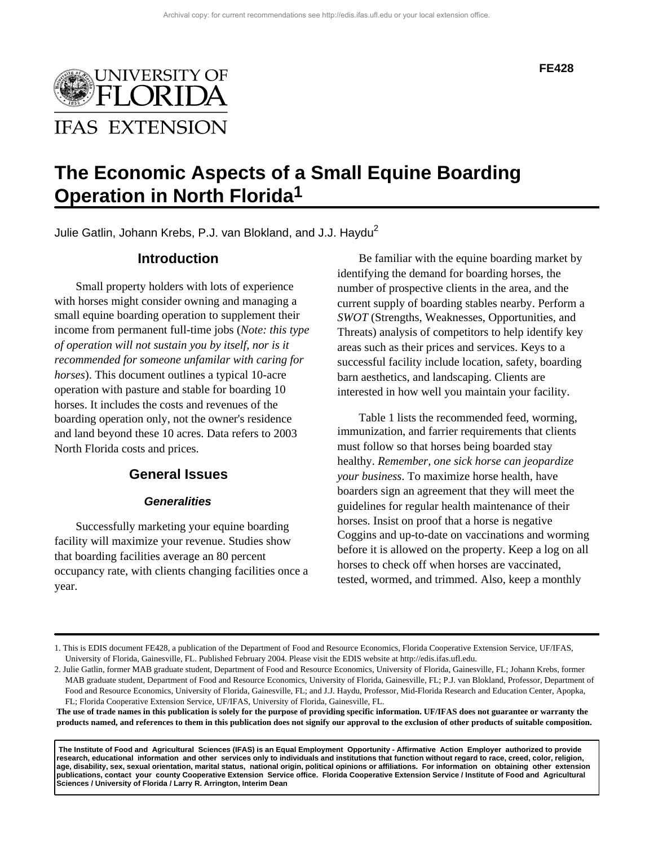

#### **FE428**

# **The Economic Aspects of a Small Equine Boarding Operation in North Florida1**

Julie Gatlin, Johann Krebs, P.J. van Blokland, and J.J. Haydu<sup>2</sup>

# **Introduction**

Small property holders with lots of experience with horses might consider owning and managing a small equine boarding operation to supplement their income from permanent full-time jobs (*Note: this type of operation will not sustain you by itself, nor is it recommended for someone unfamilar with caring for horses*). This document outlines a typical 10-acre operation with pasture and stable for boarding 10 horses. It includes the costs and revenues of the boarding operation only, not the owner's residence and land beyond these 10 acres. Data refers to 2003 North Florida costs and prices.

### **General Issues**

### **Generalities**

Successfully marketing your equine boarding facility will maximize your revenue. Studies show that boarding facilities average an 80 percent occupancy rate, with clients changing facilities once a year.

Be familiar with the equine boarding market by identifying the demand for boarding horses, the number of prospective clients in the area, and the current supply of boarding stables nearby. Perform a *SWOT* (Strengths, Weaknesses, Opportunities, and Threats) analysis of competitors to help identify key areas such as their prices and services. Keys to a successful facility include location, safety, boarding barn aesthetics, and landscaping. Clients are interested in how well you maintain your facility.

Table 1 lists the recommended feed, worming, immunization, and farrier requirements that clients must follow so that horses being boarded stay healthy. *Remember, one sick horse can jeopardize your business*. To maximize horse health, have boarders sign an agreement that they will meet the guidelines for regular health maintenance of their horses. Insist on proof that a horse is negative Coggins and up-to-date on vaccinations and worming before it is allowed on the property. Keep a log on all horses to check off when horses are vaccinated, tested, wormed, and trimmed. Also, keep a monthly

**The use of trade names in this publication is solely for the purpose of providing specific information. UF/IFAS does not guarantee or warranty the products named, and references to them in this publication does not signify our approval to the exclusion of other products of suitable composition.** 

 **The Institute of Food and Agricultural Sciences (IFAS) is an Equal Employment Opportunity - Affirmative Action Employer authorized to provide research, educational information and other services only to individuals and institutions that function without regard to race, creed, color, religion, age, disability, sex, sexual orientation, marital status, national origin, political opinions or affiliations. For information on obtaining other extension publications, contact your county Cooperative Extension Service office. Florida Cooperative Extension Service / Institute of Food and Agricultural Sciences / University of Florida / Larry R. Arrington, Interim Dean**

<sup>1.</sup> This is EDIS document FE428, a publication of the Department of Food and Resource Economics, Florida Cooperative Extension Service, UF/IFAS, University of Florida, Gainesville, FL. Published February 2004. Please visit the EDIS website at http://edis.ifas.ufl.edu.

<sup>2.</sup> Julie Gatlin, former MAB graduate student, Department of Food and Resource Economics, University of Florida, Gainesville, FL; Johann Krebs, former MAB graduate student, Department of Food and Resource Economics, University of Florida, Gainesville, FL; P.J. van Blokland, Professor, Department of Food and Resource Economics, University of Florida, Gainesville, FL; and J.J. Haydu, Professor, Mid-Florida Research and Education Center, Apopka, FL; Florida Cooperative Extension Service, UF/IFAS, University of Florida, Gainesville, FL.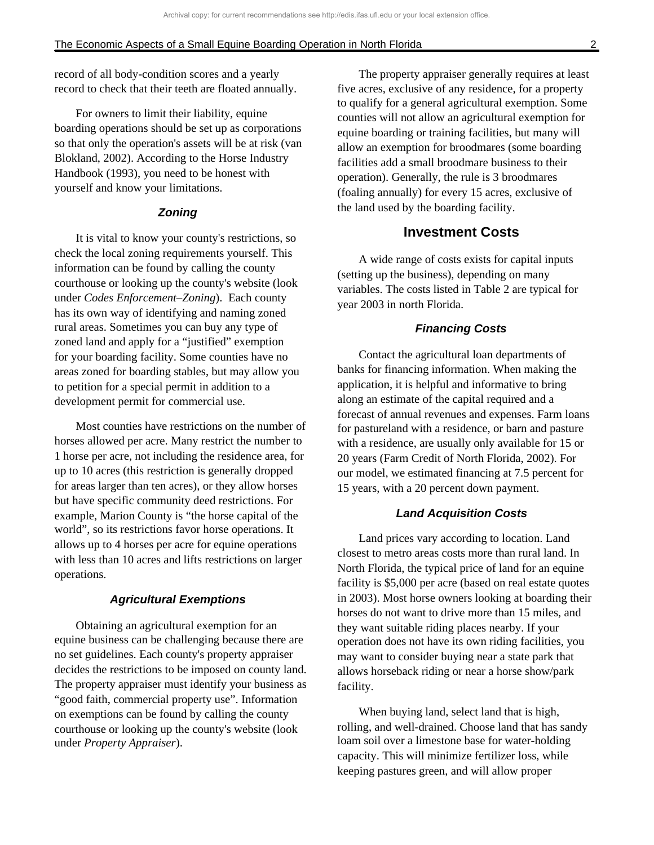record of all body-condition scores and a yearly record to check that their teeth are floated annually.

For owners to limit their liability, equine boarding operations should be set up as corporations so that only the operation's assets will be at risk (van Blokland, 2002). According to the Horse Industry Handbook (1993), you need to be honest with yourself and know your limitations.

### **Zoning**

It is vital to know your county's restrictions, so check the local zoning requirements yourself. This information can be found by calling the county courthouse or looking up the county's website (look under *Codes Enforcement–Zoning*). Each county has its own way of identifying and naming zoned rural areas. Sometimes you can buy any type of zoned land and apply for a "justified" exemption for your boarding facility. Some counties have no areas zoned for boarding stables, but may allow you to petition for a special permit in addition to a development permit for commercial use.

Most counties have restrictions on the number of horses allowed per acre. Many restrict the number to 1 horse per acre, not including the residence area, for up to 10 acres (this restriction is generally dropped for areas larger than ten acres), or they allow horses but have specific community deed restrictions. For example, Marion County is "the horse capital of the world", so its restrictions favor horse operations. It allows up to 4 horses per acre for equine operations with less than 10 acres and lifts restrictions on larger operations.

### **Agricultural Exemptions**

Obtaining an agricultural exemption for an equine business can be challenging because there are no set guidelines. Each county's property appraiser decides the restrictions to be imposed on county land. The property appraiser must identify your business as "good faith, commercial property use". Information on exemptions can be found by calling the county courthouse or looking up the county's website (look under *Property Appraiser*).

The property appraiser generally requires at least five acres, exclusive of any residence, for a property to qualify for a general agricultural exemption. Some counties will not allow an agricultural exemption for equine boarding or training facilities, but many will allow an exemption for broodmares (some boarding facilities add a small broodmare business to their operation). Generally, the rule is 3 broodmares (foaling annually) for every 15 acres, exclusive of the land used by the boarding facility.

### **Investment Costs**

A wide range of costs exists for capital inputs (setting up the business), depending on many variables. The costs listed in Table 2 are typical for year 2003 in north Florida.

#### **Financing Costs**

Contact the agricultural loan departments of banks for financing information. When making the application, it is helpful and informative to bring along an estimate of the capital required and a forecast of annual revenues and expenses. Farm loans for pastureland with a residence, or barn and pasture with a residence, are usually only available for 15 or 20 years (Farm Credit of North Florida, 2002). For our model, we estimated financing at 7.5 percent for 15 years, with a 20 percent down payment.

### **Land Acquisition Costs**

Land prices vary according to location. Land closest to metro areas costs more than rural land. In North Florida, the typical price of land for an equine facility is \$5,000 per acre (based on real estate quotes in 2003). Most horse owners looking at boarding their horses do not want to drive more than 15 miles, and they want suitable riding places nearby. If your operation does not have its own riding facilities, you may want to consider buying near a state park that allows horseback riding or near a horse show/park facility.

When buying land, select land that is high, rolling, and well-drained. Choose land that has sandy loam soil over a limestone base for water-holding capacity. This will minimize fertilizer loss, while keeping pastures green, and will allow proper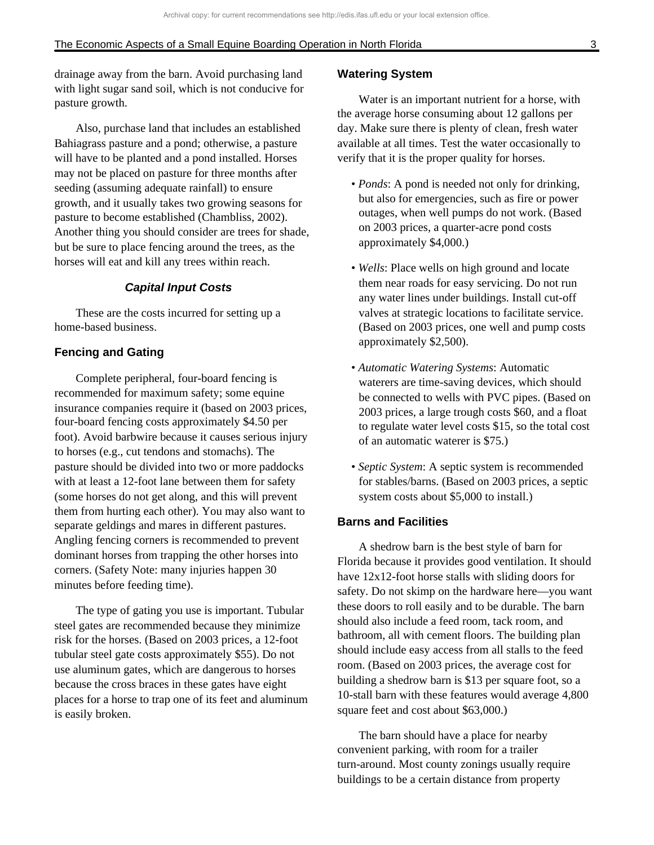drainage away from the barn. Avoid purchasing land with light sugar sand soil, which is not conducive for pasture growth.

Also, purchase land that includes an established Bahiagrass pasture and a pond; otherwise, a pasture will have to be planted and a pond installed. Horses may not be placed on pasture for three months after seeding (assuming adequate rainfall) to ensure growth, and it usually takes two growing seasons for pasture to become established (Chambliss, 2002). Another thing you should consider are trees for shade, but be sure to place fencing around the trees, as the horses will eat and kill any trees within reach.

### **Capital Input Costs**

These are the costs incurred for setting up a home-based business.

### **Fencing and Gating**

Complete peripheral, four-board fencing is recommended for maximum safety; some equine insurance companies require it (based on 2003 prices, four-board fencing costs approximately \$4.50 per foot). Avoid barbwire because it causes serious injury to horses (e.g., cut tendons and stomachs). The pasture should be divided into two or more paddocks with at least a 12-foot lane between them for safety (some horses do not get along, and this will prevent them from hurting each other). You may also want to separate geldings and mares in different pastures. Angling fencing corners is recommended to prevent dominant horses from trapping the other horses into corners. (Safety Note: many injuries happen 30 minutes before feeding time).

The type of gating you use is important. Tubular steel gates are recommended because they minimize risk for the horses. (Based on 2003 prices, a 12-foot tubular steel gate costs approximately \$55). Do not use aluminum gates, which are dangerous to horses because the cross braces in these gates have eight places for a horse to trap one of its feet and aluminum is easily broken.

### **Watering System**

Water is an important nutrient for a horse, with the average horse consuming about 12 gallons per day. Make sure there is plenty of clean, fresh water available at all times. Test the water occasionally to verify that it is the proper quality for horses.

- *Ponds*: A pond is needed not only for drinking, but also for emergencies, such as fire or power outages, when well pumps do not work. (Based on 2003 prices, a quarter-acre pond costs approximately \$4,000.)
- *Wells*: Place wells on high ground and locate them near roads for easy servicing. Do not run any water lines under buildings. Install cut-off valves at strategic locations to facilitate service. (Based on 2003 prices, one well and pump costs approximately \$2,500).
- *Automatic Watering Systems*: Automatic waterers are time-saving devices, which should be connected to wells with PVC pipes. (Based on 2003 prices, a large trough costs \$60, and a float to regulate water level costs \$15, so the total cost of an automatic waterer is \$75.)
- *Septic System*: A septic system is recommended for stables/barns. (Based on 2003 prices, a septic system costs about \$5,000 to install.)

### **Barns and Facilities**

A shedrow barn is the best style of barn for Florida because it provides good ventilation. It should have 12x12-foot horse stalls with sliding doors for safety. Do not skimp on the hardware here—you want these doors to roll easily and to be durable. The barn should also include a feed room, tack room, and bathroom, all with cement floors. The building plan should include easy access from all stalls to the feed room. (Based on 2003 prices, the average cost for building a shedrow barn is \$13 per square foot, so a 10-stall barn with these features would average 4,800 square feet and cost about \$63,000.)

The barn should have a place for nearby convenient parking, with room for a trailer turn-around. Most county zonings usually require buildings to be a certain distance from property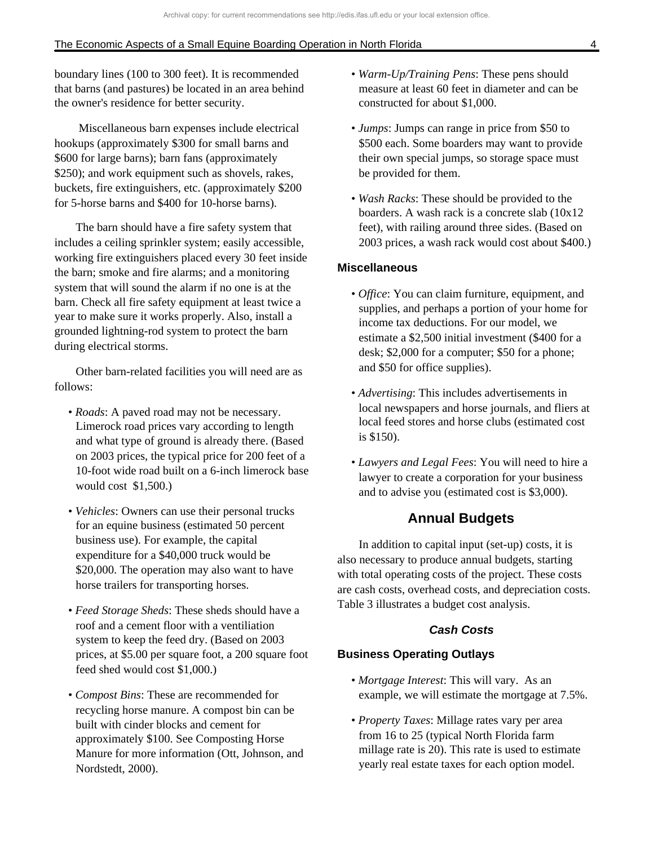boundary lines (100 to 300 feet). It is recommended that barns (and pastures) be located in an area behind the owner's residence for better security.

 Miscellaneous barn expenses include electrical hookups (approximately \$300 for small barns and \$600 for large barns); barn fans (approximately \$250); and work equipment such as shovels, rakes, buckets, fire extinguishers, etc. (approximately \$200 for 5-horse barns and \$400 for 10-horse barns).

The barn should have a fire safety system that includes a ceiling sprinkler system; easily accessible, working fire extinguishers placed every 30 feet inside the barn; smoke and fire alarms; and a monitoring system that will sound the alarm if no one is at the barn. Check all fire safety equipment at least twice a year to make sure it works properly. Also, install a grounded lightning-rod system to protect the barn during electrical storms.

Other barn-related facilities you will need are as follows:

- *Roads*: A paved road may not be necessary. Limerock road prices vary according to length and what type of ground is already there. (Based on 2003 prices, the typical price for 200 feet of a 10-foot wide road built on a 6-inch limerock base would cost \$1,500.)
- *Vehicles*: Owners can use their personal trucks for an equine business (estimated 50 percent business use). For example, the capital expenditure for a \$40,000 truck would be \$20,000. The operation may also want to have horse trailers for transporting horses.
- *Feed Storage Sheds*: These sheds should have a roof and a cement floor with a ventiliation system to keep the feed dry. (Based on 2003 prices, at \$5.00 per square foot, a 200 square foot feed shed would cost \$1,000.)
- *Compost Bins*: These are recommended for recycling horse manure. A compost bin can be built with cinder blocks and cement for approximately \$100. See Composting Horse Manure for more information (Ott, Johnson, and Nordstedt, 2000).
- *Warm-Up/Training Pens*: These pens should measure at least 60 feet in diameter and can be constructed for about \$1,000.
- *Jumps*: Jumps can range in price from \$50 to \$500 each. Some boarders may want to provide their own special jumps, so storage space must be provided for them.
- *Wash Racks*: These should be provided to the boarders. A wash rack is a concrete slab (10x12 feet), with railing around three sides. (Based on 2003 prices, a wash rack would cost about \$400.)

### **Miscellaneous**

- *Office*: You can claim furniture, equipment, and supplies, and perhaps a portion of your home for income tax deductions. For our model, we estimate a \$2,500 initial investment (\$400 for a desk; \$2,000 for a computer; \$50 for a phone; and \$50 for office supplies).
- *Advertising*: This includes advertisements in local newspapers and horse journals, and fliers at local feed stores and horse clubs (estimated cost is \$150).
- *Lawyers and Legal Fees*: You will need to hire a lawyer to create a corporation for your business and to advise you (estimated cost is \$3,000).

### **Annual Budgets**

In addition to capital input (set-up) costs, it is also necessary to produce annual budgets, starting with total operating costs of the project. These costs are cash costs, overhead costs, and depreciation costs. Table 3 illustrates a budget cost analysis.

### **Cash Costs**

### **Business Operating Outlays**

- *Mortgage Interest*: This will vary. As an example, we will estimate the mortgage at 7.5%.
- *Property Taxes*: Millage rates vary per area from 16 to 25 (typical North Florida farm millage rate is 20). This rate is used to estimate yearly real estate taxes for each option model.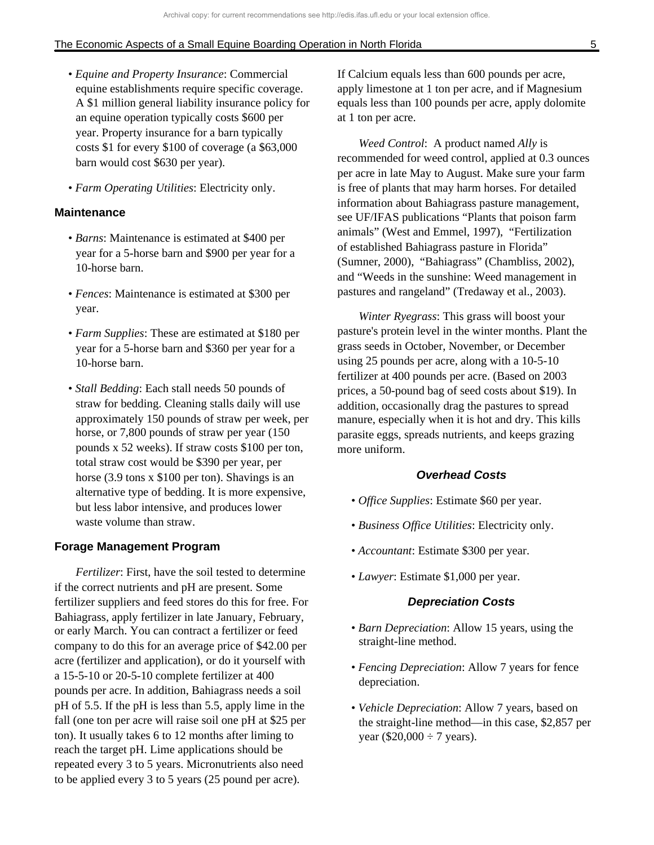- *Equine and Property Insurance*: Commercial equine establishments require specific coverage. A \$1 million general liability insurance policy for an equine operation typically costs \$600 per year. Property insurance for a barn typically costs \$1 for every \$100 of coverage (a \$63,000 barn would cost \$630 per year).
- *Farm Operating Utilities*: Electricity only.

### **Maintenance**

- *Barns*: Maintenance is estimated at \$400 per year for a 5-horse barn and \$900 per year for a 10-horse barn.
- *Fences*: Maintenance is estimated at \$300 per year.
- *Farm Supplies*: These are estimated at \$180 per year for a 5-horse barn and \$360 per year for a 10-horse barn.
- *Stall Bedding*: Each stall needs 50 pounds of straw for bedding. Cleaning stalls daily will use approximately 150 pounds of straw per week, per horse, or 7,800 pounds of straw per year (150 pounds x 52 weeks). If straw costs \$100 per ton, total straw cost would be \$390 per year, per horse (3.9 tons x \$100 per ton). Shavings is an alternative type of bedding. It is more expensive, but less labor intensive, and produces lower waste volume than straw.

#### **Forage Management Program**

*Fertilizer*: First, have the soil tested to determine if the correct nutrients and pH are present. Some fertilizer suppliers and feed stores do this for free. For Bahiagrass, apply fertilizer in late January, February, or early March. You can contract a fertilizer or feed company to do this for an average price of \$42.00 per acre (fertilizer and application), or do it yourself with a 15-5-10 or 20-5-10 complete fertilizer at 400 pounds per acre. In addition, Bahiagrass needs a soil pH of 5.5. If the pH is less than 5.5, apply lime in the fall (one ton per acre will raise soil one pH at \$25 per ton). It usually takes 6 to 12 months after liming to reach the target pH. Lime applications should be repeated every 3 to 5 years. Micronutrients also need to be applied every 3 to 5 years (25 pound per acre).

If Calcium equals less than 600 pounds per acre, apply limestone at 1 ton per acre, and if Magnesium equals less than 100 pounds per acre, apply dolomite at 1 ton per acre.

*Weed Control*: A product named *Ally* is recommended for weed control, applied at 0.3 ounces per acre in late May to August. Make sure your farm is free of plants that may harm horses. For detailed information about Bahiagrass pasture management, see UF/IFAS publications "Plants that poison farm animals" (West and Emmel, 1997), "Fertilization of established Bahiagrass pasture in Florida" (Sumner, 2000), "Bahiagrass" (Chambliss, 2002), and "Weeds in the sunshine: Weed management in pastures and rangeland" (Tredaway et al., 2003).

*Winter Ryegrass*: This grass will boost your pasture's protein level in the winter months. Plant the grass seeds in October, November, or December using 25 pounds per acre, along with a 10-5-10 fertilizer at 400 pounds per acre. (Based on 2003 prices, a 50-pound bag of seed costs about \$19). In addition, occasionally drag the pastures to spread manure, especially when it is hot and dry. This kills parasite eggs, spreads nutrients, and keeps grazing more uniform.

### **Overhead Costs**

- *Office Supplies*: Estimate \$60 per year.
- *Business Office Utilities*: Electricity only.
- *Accountant*: Estimate \$300 per year.
- *Lawyer*: Estimate \$1,000 per year.

### **Depreciation Costs**

- *Barn Depreciation*: Allow 15 years, using the straight-line method.
- *Fencing Depreciation*: Allow 7 years for fence depreciation.
- *Vehicle Depreciation*: Allow 7 years, based on the straight-line method—in this case, \$2,857 per year (\$20,000  $\div$  7 years).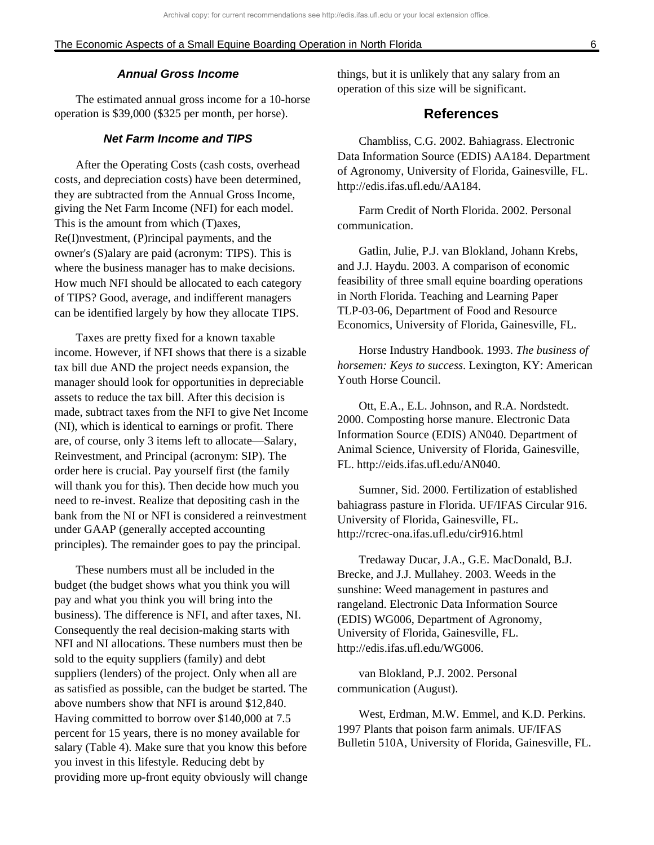#### **Annual Gross Income**

The estimated annual gross income for a 10-horse operation is \$39,000 (\$325 per month, per horse).

### **Net Farm Income and TIPS**

After the Operating Costs (cash costs, overhead costs, and depreciation costs) have been determined, they are subtracted from the Annual Gross Income, giving the Net Farm Income (NFI) for each model. This is the amount from which (T)axes, Re(I)nvestment, (P)rincipal payments, and the owner's (S)alary are paid (acronym: TIPS). This is where the business manager has to make decisions. How much NFI should be allocated to each category of TIPS? Good, average, and indifferent managers can be identified largely by how they allocate TIPS.

Taxes are pretty fixed for a known taxable income. However, if NFI shows that there is a sizable tax bill due AND the project needs expansion, the manager should look for opportunities in depreciable assets to reduce the tax bill. After this decision is made, subtract taxes from the NFI to give Net Income (NI), which is identical to earnings or profit. There are, of course, only 3 items left to allocate—Salary, Reinvestment, and Principal (acronym: SIP). The order here is crucial. Pay yourself first (the family will thank you for this). Then decide how much you need to re-invest. Realize that depositing cash in the bank from the NI or NFI is considered a reinvestment under GAAP (generally accepted accounting principles). The remainder goes to pay the principal.

These numbers must all be included in the budget (the budget shows what you think you will pay and what you think you will bring into the business). The difference is NFI, and after taxes, NI. Consequently the real decision-making starts with NFI and NI allocations. These numbers must then be sold to the equity suppliers (family) and debt suppliers (lenders) of the project. Only when all are as satisfied as possible, can the budget be started. The above numbers show that NFI is around \$12,840. Having committed to borrow over \$140,000 at 7.5 percent for 15 years, there is no money available for salary (Table 4). Make sure that you know this before you invest in this lifestyle. Reducing debt by providing more up-front equity obviously will change things, but it is unlikely that any salary from an operation of this size will be significant.

### **References**

Chambliss, C.G. 2002. Bahiagrass. Electronic Data Information Source (EDIS) AA184. Department of Agronomy, University of Florida, Gainesville, FL. http://edis.ifas.ufl.edu/AA184.

Farm Credit of North Florida. 2002. Personal communication.

Gatlin, Julie, P.J. van Blokland, Johann Krebs, and J.J. Haydu. 2003. A comparison of economic feasibility of three small equine boarding operations in North Florida. Teaching and Learning Paper TLP-03-06, Department of Food and Resource Economics, University of Florida, Gainesville, FL.

Horse Industry Handbook. 1993. *The business of horsemen: Keys to success*. Lexington, KY: American Youth Horse Council.

Ott, E.A., E.L. Johnson, and R.A. Nordstedt. 2000. Composting horse manure. Electronic Data Information Source (EDIS) AN040. Department of Animal Science, University of Florida, Gainesville, FL. http://eids.ifas.ufl.edu/AN040.

Sumner, Sid. 2000. Fertilization of established bahiagrass pasture in Florida. UF/IFAS Circular 916. University of Florida, Gainesville, FL. http://rcrec-ona.ifas.ufl.edu/cir916.html

Tredaway Ducar, J.A., G.E. MacDonald, B.J. Brecke, and J.J. Mullahey. 2003. Weeds in the sunshine: Weed management in pastures and rangeland. Electronic Data Information Source (EDIS) WG006, Department of Agronomy, University of Florida, Gainesville, FL. http://edis.ifas.ufl.edu/WG006.

van Blokland, P.J. 2002. Personal communication (August).

West, Erdman, M.W. Emmel, and K.D. Perkins. 1997 Plants that poison farm animals. UF/IFAS Bulletin 510A, University of Florida, Gainesville, FL.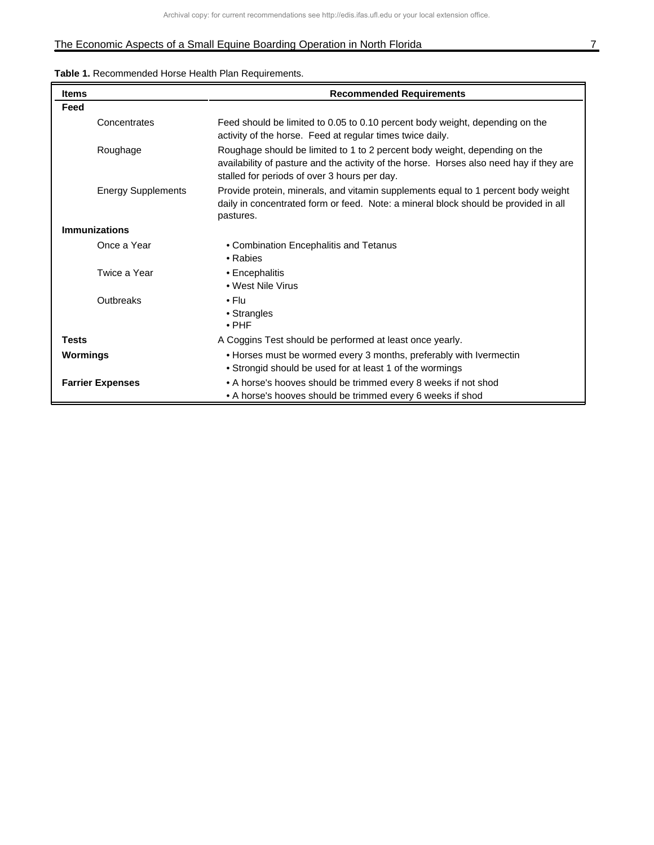# The Economic Aspects of a Small Equine Boarding Operation in North Florida 7 1999 1999 1999 1999 1999 1999 199

|  |  |  | <b>Table 1.</b> Recommended Horse Health Plan Requirements. |
|--|--|--|-------------------------------------------------------------|
|--|--|--|-------------------------------------------------------------|

| <b>Items</b>              | <b>Recommended Requirements</b>                                                                                                                                                                                       |  |
|---------------------------|-----------------------------------------------------------------------------------------------------------------------------------------------------------------------------------------------------------------------|--|
| Feed                      |                                                                                                                                                                                                                       |  |
| Concentrates              | Feed should be limited to 0.05 to 0.10 percent body weight, depending on the<br>activity of the horse. Feed at regular times twice daily.                                                                             |  |
| Roughage                  | Roughage should be limited to 1 to 2 percent body weight, depending on the<br>availability of pasture and the activity of the horse. Horses also need hay if they are<br>stalled for periods of over 3 hours per day. |  |
| <b>Energy Supplements</b> | Provide protein, minerals, and vitamin supplements equal to 1 percent body weight<br>daily in concentrated form or feed. Note: a mineral block should be provided in all<br>pastures.                                 |  |
| <b>Immunizations</b>      |                                                                                                                                                                                                                       |  |
| Once a Year               | • Combination Encephalitis and Tetanus<br>• Rabies                                                                                                                                                                    |  |
| Twice a Year              | • Encephalitis<br>• West Nile Virus                                                                                                                                                                                   |  |
| Outbreaks                 | $\cdot$ Flu<br>• Strangles<br>$\cdot$ PHF                                                                                                                                                                             |  |
| <b>Tests</b>              | A Coggins Test should be performed at least once yearly.                                                                                                                                                              |  |
| <b>Wormings</b>           | • Horses must be wormed every 3 months, preferably with Ivermectin                                                                                                                                                    |  |
|                           | • Strongid should be used for at least 1 of the wormings                                                                                                                                                              |  |
| <b>Farrier Expenses</b>   | • A horse's hooves should be trimmed every 8 weeks if not shod                                                                                                                                                        |  |
|                           | • A horse's hooves should be trimmed every 6 weeks if shod                                                                                                                                                            |  |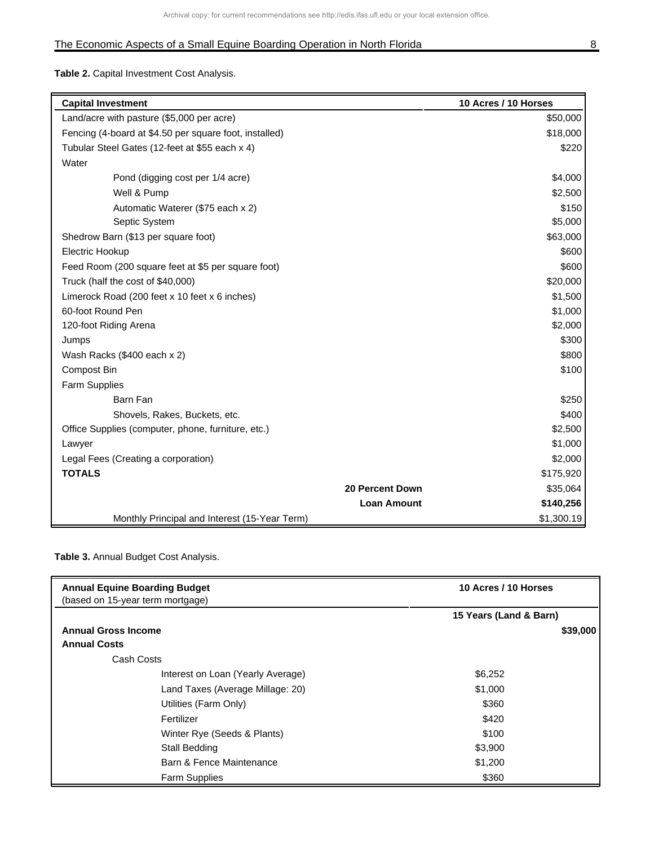**Table 2.** Capital Investment Cost Analysis.

| <b>Capital Investment</b>                              |                        | 10 Acres / 10 Horses |
|--------------------------------------------------------|------------------------|----------------------|
| Land/acre with pasture (\$5,000 per acre)              |                        | \$50,000             |
| Fencing (4-board at \$4.50 per square foot, installed) |                        | \$18,000             |
| Tubular Steel Gates (12-feet at \$55 each x 4)         |                        | \$220                |
| Water                                                  |                        |                      |
| Pond (digging cost per 1/4 acre)                       |                        | \$4,000              |
| Well & Pump                                            |                        | \$2,500              |
| Automatic Waterer (\$75 each x 2)                      |                        | \$150                |
| Septic System                                          |                        | \$5,000              |
| Shedrow Barn (\$13 per square foot)                    |                        | \$63,000             |
| Electric Hookup                                        |                        | \$600                |
| Feed Room (200 square feet at \$5 per square foot)     |                        | \$600                |
| Truck (half the cost of \$40,000)                      |                        | \$20,000             |
| Limerock Road (200 feet x 10 feet x 6 inches)          |                        | \$1,500              |
| 60-foot Round Pen                                      |                        | \$1,000              |
| 120-foot Riding Arena                                  |                        | \$2,000              |
| Jumps                                                  |                        | \$300                |
| Wash Racks (\$400 each x 2)                            |                        | \$800                |
| <b>Compost Bin</b>                                     |                        | \$100                |
| Farm Supplies                                          |                        |                      |
| Barn Fan                                               |                        | \$250                |
| Shovels, Rakes, Buckets, etc.                          |                        | \$400                |
| Office Supplies (computer, phone, furniture, etc.)     |                        | \$2,500              |
| Lawyer                                                 |                        | \$1,000              |
| Legal Fees (Creating a corporation)                    |                        | \$2,000              |
| <b>TOTALS</b>                                          |                        | \$175,920            |
|                                                        | <b>20 Percent Down</b> | \$35,064             |
|                                                        | <b>Loan Amount</b>     | \$140,256            |
| Monthly Principal and Interest (15-Year Term)          |                        | \$1,300.19           |

### **Table 3.** Annual Budget Cost Analysis.

| <b>Annual Equine Boarding Budget</b> | 10 Acres / 10 Horses   |  |
|--------------------------------------|------------------------|--|
| (based on 15-year term mortgage)     |                        |  |
|                                      | 15 Years (Land & Barn) |  |
| <b>Annual Gross Income</b>           | \$39,000               |  |
| <b>Annual Costs</b>                  |                        |  |
| Cash Costs                           |                        |  |
| Interest on Loan (Yearly Average)    | \$6,252                |  |
| Land Taxes (Average Millage: 20)     | \$1,000                |  |
| Utilities (Farm Only)                | \$360                  |  |
| Fertilizer                           | \$420                  |  |
| Winter Rye (Seeds & Plants)          | \$100                  |  |
| Stall Bedding                        | \$3,900                |  |
| Barn & Fence Maintenance             | \$1,200                |  |
| <b>Farm Supplies</b>                 | \$360                  |  |